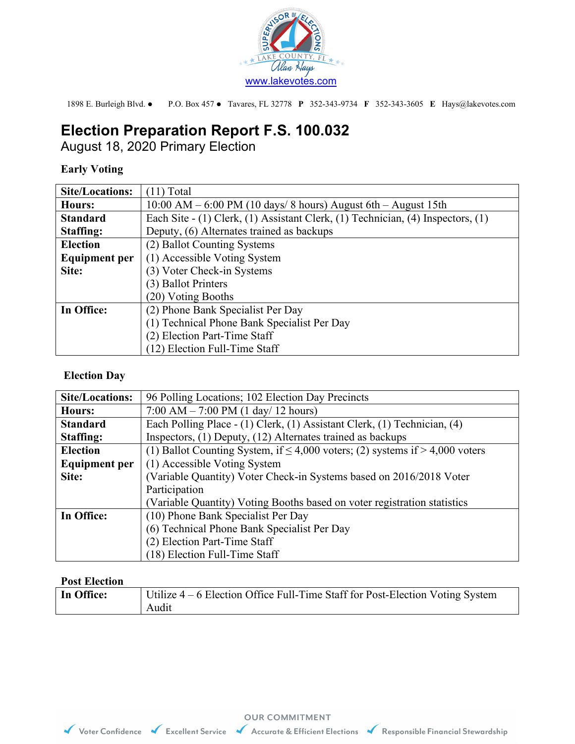

1898 E. Burleigh Blvd. P.O. Box 457 Tavares, FL 32778 **P** 352-343-9734 **F** 352-343-3605 **E** Hays@lakevotes.com

# **Election Preparation Report F.S. 100.032**

August 18, 2020 Primary Election

## **Early Voting**

| <b>Site/Locations:</b> | $(11)$ Total                                                                    |
|------------------------|---------------------------------------------------------------------------------|
| Hours:                 | $10:00$ AM $-6:00$ PM (10 days/8 hours) August 6th $-$ August 15th              |
| <b>Standard</b>        | Each Site - (1) Clerk, (1) Assistant Clerk, (1) Technician, (4) Inspectors, (1) |
| <b>Staffing:</b>       | Deputy, (6) Alternates trained as backups                                       |
| <b>Election</b>        | (2) Ballot Counting Systems                                                     |
| <b>Equipment per</b>   | (1) Accessible Voting System                                                    |
| Site:                  | (3) Voter Check-in Systems                                                      |
|                        | (3) Ballot Printers                                                             |
|                        | (20) Voting Booths                                                              |
| In Office:             | (2) Phone Bank Specialist Per Day                                               |
|                        | (1) Technical Phone Bank Specialist Per Day                                     |
|                        | (2) Election Part-Time Staff                                                    |
|                        | (12) Election Full-Time Staff                                                   |

### **Election Day**

| <b>Site/Locations:</b> | 96 Polling Locations; 102 Election Day Precincts                                    |
|------------------------|-------------------------------------------------------------------------------------|
| Hours:                 | $7:00$ AM $- 7:00$ PM (1 day/ 12 hours)                                             |
| <b>Standard</b>        | Each Polling Place - (1) Clerk, (1) Assistant Clerk, (1) Technician, (4)            |
| <b>Staffing:</b>       | Inspectors, (1) Deputy, (12) Alternates trained as backups                          |
| <b>Election</b>        | (1) Ballot Counting System, if $\leq 4,000$ voters; (2) systems if $> 4,000$ voters |
| <b>Equipment per</b>   | (1) Accessible Voting System                                                        |
| Site:                  | (Variable Quantity) Voter Check-in Systems based on 2016/2018 Voter                 |
|                        | Participation                                                                       |
|                        | (Variable Quantity) Voting Booths based on voter registration statistics            |
| In Office:             | (10) Phone Bank Specialist Per Day                                                  |
|                        | (6) Technical Phone Bank Specialist Per Day                                         |
|                        | (2) Election Part-Time Staff                                                        |
|                        | (18) Election Full-Time Staff                                                       |

#### **Post Election**

| In Office: | Utilize 4 – 6 Election Office Full-Time Staff for Post-Election Voting System |
|------------|-------------------------------------------------------------------------------|
|            | Audit                                                                         |